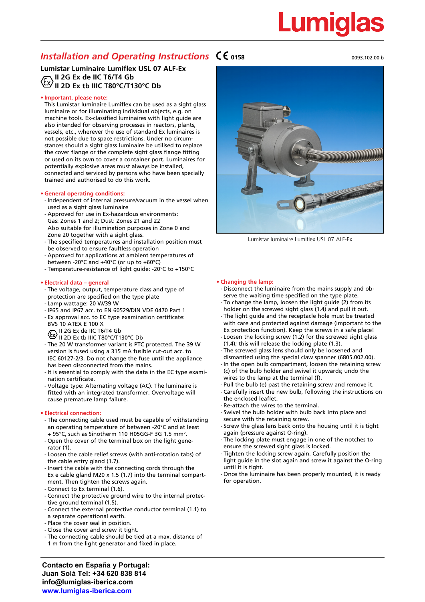### *Installation and Operating Instructions*  $\mathsf{C}\mathsf{C}$ <sub>0158</sub>

**Lumistar Luminaire Lumiflex USL 07 ALF-Ex II 2G Ex de IIC T6/T4 Gb II 2D Ex tb IIIC T80°C/T130°C Db**

### **• Important, please note:**

This Lumistar luminaire Lumiflex can be used as a sight glass luminaire or for illuminating individual objects, e.g. on machine tools. Ex-classified luminaires with light guide are also intended for observing processes in reactors, plants, vessels, etc., wherever the use of standard Ex luminaires is not possible due to space restrictions. Under no circumstances should a sight glass luminaire be utilised to replace the cover flange or the complete sight glass flange fitting or used on its own to cover a container port. Luminaires for potentially explosive areas must always be installed, connected and serviced by persons who have been specially trained and authorised to do this work.

### **• General operating conditions:**

- Independent of internal pressure/vacuum in the vessel when used as a sight glass luminaire
- Approved for use in Ex-hazardous environments: Gas: Zones 1 and 2; Dust: Zones 21 and 22 Also suitable for illumination purposes in Zone 0 and Zone 20 together with a sight glass.
- The specified temperatures and installation position must be observed to ensure faultless operation
- Approved for applications at ambient temperatures of between -20°C and +40°C (or up to +60°C)
- Temperature-resistance of light guide: -20°C to +150°C

### **• Electrical data – general**

- The voltage, output, temperature class and type of protection are specified on the type plate
- Lamp wattage: 20 W/39 W
- IP65 and IP67 acc. to EN 60529/DIN VDE 0470 Part 1
- Ex approval acc. to EC type examination certificate:
- BVS 10 ATEX E 100 X
- II 2G Ex de IIC T6/T4 Gb II 2D Ex tb IIIC T80°C/T130°C Db
- The 20 W transformer variant is PTC protected. The 39 W version is fused using a 315 mA fusible cut-out acc. to IEC 60127-2/3. Do not change the fuse until the appliance has been disconnected from the mains.
- It is essential to comply with the data in the EC type exami nation certificate.
- Voltage type: Alternating voltage (AC). The luminaire is fitted with an integrated transformer. Overvoltage will cause premature lamp failure.

### **• Electrical connection:**

- The connecting cable used must be capable of withstanding an operating temperature of between -20°C and at least + 95°C, such as Sinotherm 110 H05GG-F 3G 1.5 mm².
- Open the cover of the terminal box on the light gene rator (1).
- Loosen the cable relief screws (with anti-rotation tabs) of the cable entry gland (1.7).
- Insert the cable with the connecting cords through the Ex e cable gland M20 x 1.5 (1.7) into the terminal compart ment. Then tighten the screws again. - Connect to Ex terminal (1.6).
- Connect the protective ground wire to the internal protec tive ground terminal (1.5).
- Connect the external protective conductor terminal (1.1) to
- a separate operational earth.
- Place the cover seal in position.
- Close the cover and screw it tight.
- The connecting cable should be tied at a max. distance of
- 1 m from the light generator and fixed in place.

aa aa aan ah mid waxaa uu waxaa uu waxaa uu waxaa uu waxaa uu waxaa uu waxaa uu waxaa uu waxaa uu waxaa uu wax

Lumistar luminaire Lumiflex USL 07 ALF-Ex

#### **• Changing the lamp:**

- Disconnect the luminaire from the mains supply and ob serve the waiting time specified on the type plate.
- To change the lamp, loosen the light guide (2) from its holder on the screwed sight glass (1.4) and pull it out.
- The light guide and the receptacle hole must be treated with care and protected against damage (important to the Ex protection function). Keep the screws in a safe place!
- Loosen the locking screw (1.2) for the screwed sight glass
- (1.4); this will release the locking plate (1.3). - The screwed glass lens should only be loosened and dismantled using the special claw spanner (6805.002.00).
- In the open bulb compartment, loosen the retaining screw (c) of the bulb holder and swivel it upwards; undo the wires to the lamp at the terminal (f).
- Pull the bulb (e) past the retaining screw and remove it.
- Carefully insert the new bulb, following the instructions on the enclosed leaflet.
- Re-attach the wires to the terminal.
- Swivel the bulb holder with bulb back into place and secure with the retaining screw.
- Screw the glass lens back onto the housing until it is tight again (pressure against O-ring).
- The locking plate must engage in one of the notches to ensure the screwed sight glass is locked.
- Tighten the locking screw again. Carefully position the light guide in the slot again and screw it against the O-ring until it is tight.
- Once the luminaire has been properly mounted, it is ready for operation.

**Contacto en España y Portugal: Juan Solá Tel: +34 620 838 814 info@lumiglas-iberica.com www.lumiglas-iberica.com**

# Lumiglas

0093.102.00 b